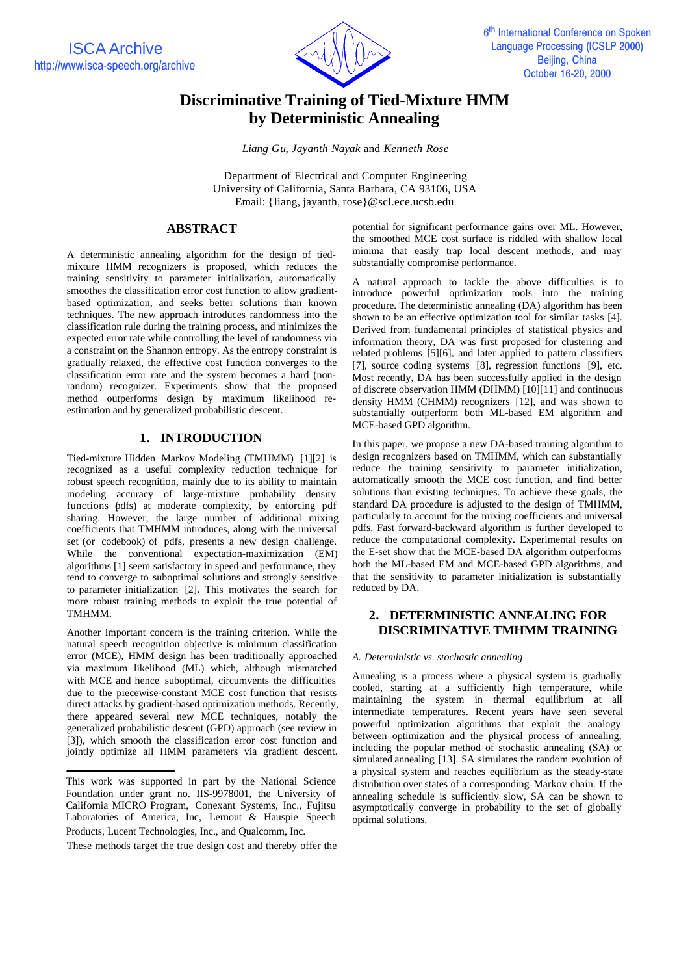ISCA Archive http://www.isca-speech.org/archive



# **Discriminative Training of Tied-Mixture HMM by Deterministic Annealing**

*Liang Gu*, *Jayanth Nayak* and *Kenneth Rose*

Department of Electrical and Computer Engineering University of California, Santa Barbara, CA 93106, USA Email: {liang, jayanth, rose}@scl.ece.ucsb.edu

## **ABSTRACT**

A deterministic annealing algorithm for the design of tiedmixture HMM recognizers is proposed, which reduces the training sensitivity to parameter initialization, automatically smoothes the classification error cost function to allow gradientbased optimization, and seeks better solutions than known techniques. The new approach introduces randomness into the classification rule during the training process, and minimizes the expected error rate while controlling the level of randomness via a constraint on the Shannon entropy. As the entropy constraint is gradually relaxed, the effective cost function converges to the classification error rate and the system becomes a hard (nonrandom) recognizer. Experiments show that the proposed method outperforms design by maximum likelihood reestimation and by generalized probabilistic descent.

## **1. INTRODUCTION**

Tied-mixture Hidden Markov Modeling (TMHMM) [1][2] is recognized as a useful complexity reduction technique for robust speech recognition, mainly due to its ability to maintain modeling accuracy of large-mixture probability density functions (pdfs) at moderate complexity, by enforcing pdf sharing. However, the large number of additional mixing coefficients that TMHMM introduces, along with the universal set (or codebook) of pdfs, presents a new design challenge. While the conventional expectation-maximization (EM) algorithms [1] seem satisfactory in speed and performance, they tend to converge to suboptimal solutions and strongly sensitive to parameter initialization [2]. This motivates the search for more robust training methods to exploit the true potential of TMHMM.

Another important concern is the training criterion. While the natural speech recognition objective is minimum classification error (MCE), HMM design has been traditionally approached via maximum likelihood (ML) which, although mismatched with MCE and hence suboptimal, circumvents the difficulties due to the piecewise-constant MCE cost function that resists direct attacks by gradient-based optimization methods. Recently, there appeared several new MCE techniques, notably the generalized probabilistic descent (GPD) approach (see review in [3]), which smooth the classification error cost function and jointly optimize all HMM parameters via gradient descent.

These methods target the true design cost and thereby offer the

potential for significant performance gains over ML. However, the smoothed MCE cost surface is riddled with shallow local minima that easily trap local descent methods, and may substantially compromise performance.

A natural approach to tackle the above difficulties is to introduce powerful optimization tools into the training procedure. The deterministic annealing (DA) algorithm has been shown to be an effective optimization tool for similar tasks [4]. Derived from fundamental principles of statistical physics and information theory, DA was first proposed for clustering and related problems [5][6], and later applied to pattern classifiers [7], source coding systems [8], regression functions [9], etc. Most recently, DA has been successfully applied in the design of discrete observation HMM (DHMM) [10][11] and continuous density HMM (CHMM) recognizers [12], and was shown to substantially outperform both ML-based EM algorithm and MCE-based GPD algorithm.

In this paper, we propose a new DA-based training algorithm to design recognizers based on TMHMM, which can substantially reduce the training sensitivity to parameter initialization, automatically smooth the MCE cost function, and find better solutions than existing techniques. To achieve these goals, the standard DA procedure is adjusted to the design of TMHMM, particularly to account for the mixing coefficients and universal pdfs. Fast forward-backward algorithm is further developed to reduce the computational complexity. Experimental results on the E-set show that the MCE-based DA algorithm outperforms both the ML-based EM and MCE-based GPD algorithms, and that the sensitivity to parameter initialization is substantially reduced by DA.

# **2. DETERMINISTIC ANNEALING FOR DISCRIMINATIVE TMHMM TRAINING**

#### *A. Deterministic vs. stochastic annealing*

Annealing is a process where a physical system is gradually cooled, starting at a sufficiently high temperature, while maintaining the system in thermal equilibrium at all intermediate temperatures. Recent years have seen several powerful optimization algorithms that exploit the analogy between optimization and the physical process of annealing, including the popular method of stochastic annealing (SA) or simulated annealing [13]. SA simulates the random evolution of a physical system and reaches equilibrium as the steady-state distribution over states of a corresponding Markov chain. If the annealing schedule is sufficiently slow, SA can be shown to asymptotically converge in probability to the set of globally optimal solutions.

This work was supported in part by the National Science Foundation under grant no. IIS-9978001, the University of California MICRO Program, Conexant Systems, Inc., Fujitsu Laboratories of America, Inc, Lernout & Hauspie Speech Products, Lucent Technologies, Inc., and Qualcomm, Inc.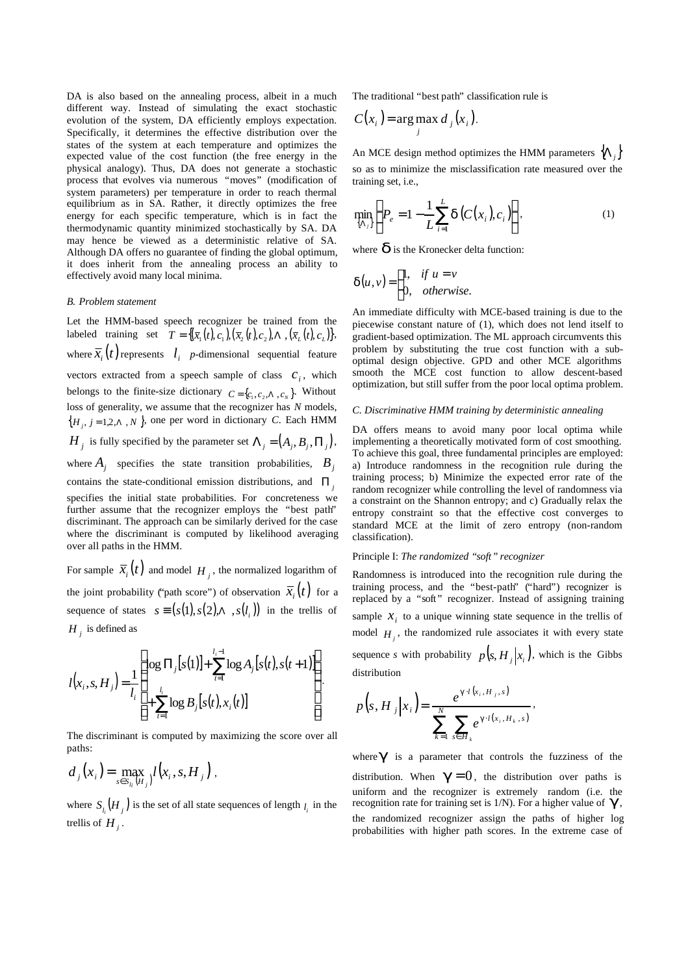DA is also based on the annealing process, albeit in a much different way. Instead of simulating the exact stochastic evolution of the system, DA efficiently employs expectation. Specifically, it determines the effective distribution over the states of the system at each temperature and optimizes the expected value of the cost function (the free energy in the physical analogy). Thus, DA does not generate a stochastic process that evolves via numerous "moves" (modification of system parameters) per temperature in order to reach thermal equilibrium as in SA. Rather, it directly optimizes the free energy for each specific temperature, which is in fact the thermodynamic quantity minimized stochastically by SA. DA may hence be viewed as a deterministic relative of SA. Although DA offers no guarantee of finding the global optimum, it does inherit from the annealing process an ability to effectively avoid many local minima.

#### *B. Problem statement*

Let the HMM-based speech recognizer be trained from the labeled training set  $T = \{(\overline{x}_1(t), c_1),(\overline{x}_2(t), c_2), \Lambda, (\overline{x}_L(t), c_L)\}\.$ where  $\overline{x}_i(t)$  represents  $l_i$  *p*-dimensional sequential feature vectors extracted from a speech sample of class  $c_i$ , which belongs to the finite-size dictionary  $C = \{c_1, c_2, \Lambda, c_N\}$ . Without loss of generality, we assume that the recognizer has *N* models,  ${H_j, j = 1,2, \Lambda, N}$ , one per word in dictionary *C*. Each HMM *H*<sub>*j*</sub> is fully specified by the parameter set  $\Lambda_j = (A_j, B_j, \Pi_j)$ , where  $A_j$  specifies the state transition probabilities,  $B_j$ contains the state-conditional emission distributions, and Π *<sup>j</sup>* specifies the initial state probabilities. For concreteness we further assume that the recognizer employs the "best path" discriminant. The approach can be similarly derived for the case where the discriminant is computed by likelihood averaging over all paths in the HMM.

For sample  $\overline{x}_i(t)$  and model  $H_i$ , the normalized logarithm of the joint probability ("path score") of observation  $\bar{x}_i(t)$  for a sequence of states  $s \equiv ( s(1), s(2), \Lambda, s(l_i) )$  in the trellis of  $H_j$  is defined as

$$
l(x_i, s, H_j) = \frac{1}{l_i} \left\{ \begin{aligned} & \log \Pi_j[s(1)] + \sum_{t=1}^{l_i-1} \log A_j[s(t), s(t+1)] \\ & + \sum_{t=1}^{l_i} \log B_j[s(t), x_i(t)] \end{aligned} \right\}.
$$

The discriminant is computed by maximizing the score over all paths:

$$
d_j(x_i) = \max_{s \in S_{l_i}(H_j)} l(x_i, s, H_j),
$$

where  $S_{l_i}(H_j)$  is the set of all state sequences of length  $l_i$  in the trellis of  $H_j$ .

The traditional "best path" classification rule is

$$
C(x_i) = \arg \max_j d_j(x_i).
$$

An MCE design method optimizes the HMM parameters  $\{\Lambda_i\}$ so as to minimize the misclassification rate measured over the training set, i.e.,

$$
\min_{\{\Lambda_i\}} \left\{ P_e = 1 - \frac{1}{L} \sum_{i=1}^{L} \bm{d} \left( C(x_i), c_i \right) \right\},\tag{1}
$$

where  $\boldsymbol{d}$  is the Kronecker delta function:

$$
\boldsymbol{d}(u,v) = \begin{cases} 1, & \text{if } u = v \\ 0, & \text{otherwise.} \end{cases}
$$

An immediate difficulty with MCE-based training is due to the piecewise constant nature of (1), which does not lend itself to gradient-based optimization. The ML approach circumvents this problem by substituting the true cost function with a suboptimal design objective. GPD and other MCE algorithms smooth the MCE cost function to allow descent-based optimization, but still suffer from the poor local optima problem.

#### *C. Discriminative HMM training by deterministic annealing*

DA offers means to avoid many poor local optima while implementing a theoretically motivated form of cost smoothing. To achieve this goal, three fundamental principles are employed: a) Introduce randomness in the recognition rule during the training process; b) Minimize the expected error rate of the random recognizer while controlling the level of randomness via a constraint on the Shannon entropy; and c) Gradually relax the entropy constraint so that the effective cost converges to standard MCE at the limit of zero entropy (non-random classification).

#### Principle I: *The randomized "soft" recognizer*

Randomness is introduced into the recognition rule during the training process, and the "best-path" ("hard") recognizer is replaced by a "soft" recognizer. Instead of assigning training sample  $x_i$  to a unique winning state sequence in the trellis of model  $H_i$ , the randomized rule associates it with every state sequence *s* with probability  $p(s, H_i | x_i)$ , which is the Gibbs distribution

$$
p(s, H_j | x_i) = \frac{e^{g \cdot l(x_i, H_j, s)}}{\sum_{k=1}^{N} \sum_{s \in H_k} e^{g \cdot l(x_i, H_k, s)}},
$$

where  $g$  is a parameter that controls the fuzziness of the distribution. When  $g = 0$ , the distribution over paths is uniform and the recognizer is extremely random (i.e. the recognition rate for training set is 1/N). For a higher value of *g* , the randomized recognizer assign the paths of higher log probabilities with higher path scores. In the extreme case of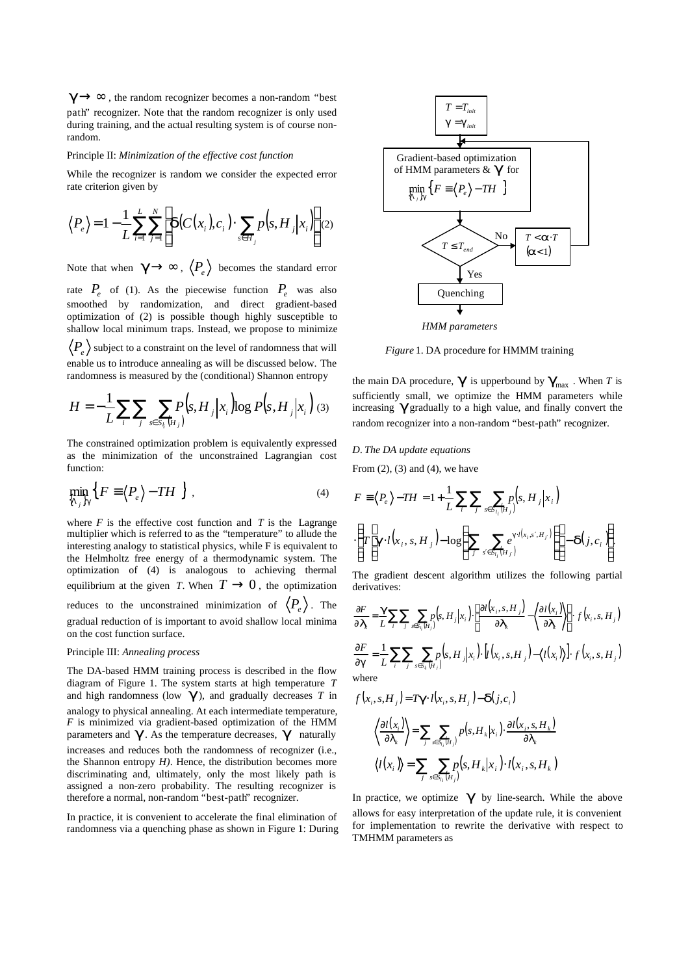$g \rightarrow \infty$ , the random recognizer becomes a non-random "best" path" recognizer. Note that the random recognizer is only used during training, and the actual resulting system is of course nonrandom.

#### Principle II: *Minimization of the effective cost function*

While the recognizer is random we consider the expected error rate criterion given by

$$
\langle P_e \rangle = 1 - \frac{1}{L} \sum_{i=1}^{L} \sum_{j=1}^{N} \left[ \boldsymbol{d}(C(x_i), c_i) \cdot \sum_{s \in H_j} p(s, H_j | x_i) \right] (2)
$$

Note that when  $\,\bm{g}\!\rightarrow\!\infty$  ,  $\left\langle P_{_{\hspace{-0.2mm}e}}\right\rangle\,$  becomes the standard error rate  $P_e$  of (1). As the piecewise function  $P_e$  was also smoothed by randomization, and direct gradient-based optimization of (2) is possible though highly susceptible to

 $P_{e}^{} \big\rangle$  subject to a constraint on the level of randomness that will enable us to introduce annealing as will be discussed below. The randomness is measured by the (conditional) Shannon entropy

shallow local minimum traps. Instead, we propose to minimize

$$
H = -\frac{1}{L} \sum_{i} \sum_{j} \sum_{s \in S_{i}} P(s, H_{j} | x_{i}) \log P(s, H_{j} | x_{i})
$$
 (3)

The constrained optimization problem is equivalently expressed as the minimization of the unconstrained Lagrangian cost function:

$$
\min_{\{\Lambda_j\}} \left\{ F \equiv \left\langle P_e \right\rangle - TH \right\} , \tag{4}
$$

where  $F$  is the effective cost function and  $T$  is the Lagrange multiplier which is referred to as the "temperature" to allude the interesting analogy to statistical physics, while F is equivalent to the Helmholtz free energy of a thermodynamic system. The optimization of (4) is analogous to achieving thermal equilibrium at the given *T*. When  $T \rightarrow 0$ , the optimization reduces to the unconstrained minimization of  $\langle P_e \rangle$ . The gradual reduction of is important to avoid shallow local minima on the cost function surface.

#### Principle III: *Annealing process*

The DA-based HMM training process is described in the flow diagram of Figure 1. The system starts at high temperature *T* and high randomness (low *g* ), and gradually decreases *T* in analogy to physical annealing. At each intermediate temperature, *F* is minimized via gradient-based optimization of the HMM parameters and  $g$ . As the temperature decreases,  $g$  naturally increases and reduces both the randomness of recognizer (i.e., the Shannon entropy *H)*. Hence, the distribution becomes more discriminating and, ultimately, only the most likely path is assigned a non-zero probability. The resulting recognizer is therefore a normal, non-random "best-path" recognizer.

In practice, it is convenient to accelerate the final elimination of randomness via a quenching phase as shown in Figure 1: During



*Figure* 1. DA procedure for HMMM training

the main DA procedure,  $g$  is upperbound by  $g_{\text{max}}$ . When *T* is sufficiently small, we optimize the HMM parameters while increasing *g* gradually to a high value, and finally convert the random recognizer into a non-random "best-path" recognizer.

# *D. The DA update equations* From  $(2)$ ,  $(3)$  and  $(4)$ , we have

$$
F \equiv \langle P_e \rangle - TH = 1 + \frac{1}{L} \sum_{i} \sum_{j} \sum_{s \in S_{i_i}[H_j]} p(s, H_j | x_i)
$$

$$
\cdot \left\{ T \left[ \mathbf{g} \cdot l(x_i, s, H_j) - \log \left( \sum_{j} \sum_{s' \in S_{i_i}[H_j]} e^{\mathbf{g} \cdot l(x_i, s', H_j)} \right) \right] - \mathbf{d}(j, c_i) \right\}.
$$

The gradient descent algorithm utilizes the following partial derivatives:

$$
\frac{\partial F}{\partial \boldsymbol{I}_k} = \frac{\boldsymbol{g}}{L} \sum_i \sum_{j} \sum_{s \in S_i(H_j)} p(s, H_j | x_i) \cdot \left[ \frac{\partial l(x_i, s, H_j)}{\partial \boldsymbol{I}_k} - \left\langle \frac{\partial l(x_i)}{\partial \boldsymbol{I}_k} \right\rangle \right] \cdot f(x_i, s, H_j)
$$
\n
$$
\frac{\partial F}{\partial \boldsymbol{g}} = \frac{1}{L} \sum_i \sum_{j} \sum_{s \in S_i(H_j)} p(s, H_j | x_i) \cdot [l(x_i, s, H_j) - \left\langle l(x_i) \right\rangle] \cdot f(x_i, s, H_j)
$$
\nwhere

$$
f(x_i, s, H_j) = Tg \cdot l(x_i, s, H_j) - d(j, c_i)
$$

$$
\left\langle \frac{\partial l(x_i)}{\partial I_k} \right\rangle = \sum_{j} \sum_{s \in S_i(H_j)} p(s, H_k | x_i) \cdot \frac{\partial l(x_i, s, H_k)}{\partial I_k}
$$

$$
\left\langle l(x_i) \right\rangle = \sum_{j} \sum_{s \in S_{i_i}(H_j)} p(s, H_k | x_i) \cdot l(x_i, s, H_k)
$$

In practice, we optimize  $g$  by line-search. While the above allows for easy interpretation of the update rule, it is convenient for implementation to rewrite the derivative with respect to TMHMM parameters as